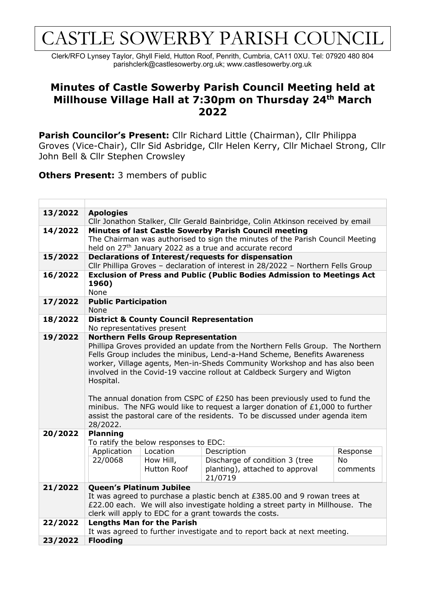## CASTLE SOWERBY PARISH COUNCIL

Clerk/RFO Lynsey Taylor, Ghyll Field, Hutton Roof, Penrith, Cumbria, CA11 0XU. Tel: 07920 480 804 parishclerk@castlesowerby.org.uk; www.castlesowerby.org.uk

## **Minutes of Castle Sowerby Parish Council Meeting held at Millhouse Village Hall at 7:30pm on Thursday 24th March 2022**

**Parish Councilor's Present:** Cllr Richard Little (Chairman), Cllr Philippa Groves (Vice-Chair), Cllr Sid Asbridge, Cllr Helen Kerry, Cllr Michael Strong, Cllr John Bell & Cllr Stephen Crowsley

**Others Present:** 3 members of public

| 13/2022 | <b>Apologies</b>                                                                                                                                |                                       |                                                                             |           |  |  |  |
|---------|-------------------------------------------------------------------------------------------------------------------------------------------------|---------------------------------------|-----------------------------------------------------------------------------|-----------|--|--|--|
| 14/2022 | Cllr Jonathon Stalker, Cllr Gerald Bainbridge, Colin Atkinson received by email<br><b>Minutes of last Castle Sowerby Parish Council meeting</b> |                                       |                                                                             |           |  |  |  |
|         | The Chairman was authorised to sign the minutes of the Parish Council Meeting                                                                   |                                       |                                                                             |           |  |  |  |
|         | held on 27 <sup>th</sup> January 2022 as a true and accurate record                                                                             |                                       |                                                                             |           |  |  |  |
| 15/2022 | Declarations of Interest/requests for dispensation                                                                                              |                                       |                                                                             |           |  |  |  |
|         | Cllr Phillipa Groves - declaration of interest in 28/2022 - Northern Fells Group                                                                |                                       |                                                                             |           |  |  |  |
| 16/2022 | <b>Exclusion of Press and Public (Public Bodies Admission to Meetings Act</b>                                                                   |                                       |                                                                             |           |  |  |  |
|         | 1960)                                                                                                                                           |                                       |                                                                             |           |  |  |  |
|         | None                                                                                                                                            |                                       |                                                                             |           |  |  |  |
| 17/2022 | <b>Public Participation</b>                                                                                                                     |                                       |                                                                             |           |  |  |  |
|         | None                                                                                                                                            |                                       |                                                                             |           |  |  |  |
| 18/2022 | <b>District &amp; County Council Representation</b><br>No representatives present                                                               |                                       |                                                                             |           |  |  |  |
| 19/2022 | <b>Northern Fells Group Representation</b>                                                                                                      |                                       |                                                                             |           |  |  |  |
|         | Phillipa Groves provided an update from the Northern Fells Group. The Northern                                                                  |                                       |                                                                             |           |  |  |  |
|         | Fells Group includes the minibus, Lend-a-Hand Scheme, Benefits Awareness                                                                        |                                       |                                                                             |           |  |  |  |
|         | worker, Village agents, Men-in-Sheds Community Workshop and has also been                                                                       |                                       |                                                                             |           |  |  |  |
|         | involved in the Covid-19 vaccine rollout at Caldbeck Surgery and Wigton                                                                         |                                       |                                                                             |           |  |  |  |
|         | Hospital.                                                                                                                                       |                                       |                                                                             |           |  |  |  |
|         |                                                                                                                                                 |                                       |                                                                             |           |  |  |  |
|         | The annual donation from CSPC of $E250$ has been previously used to fund the                                                                    |                                       |                                                                             |           |  |  |  |
|         | minibus. The NFG would like to request a larger donation of £1,000 to further                                                                   |                                       |                                                                             |           |  |  |  |
|         | assist the pastoral care of the residents. To be discussed under agenda item                                                                    |                                       |                                                                             |           |  |  |  |
| 20/2022 | 28/2022.<br><b>Planning</b>                                                                                                                     |                                       |                                                                             |           |  |  |  |
|         |                                                                                                                                                 | To ratify the below responses to EDC: |                                                                             |           |  |  |  |
|         | Application                                                                                                                                     | Location                              | Description                                                                 | Response  |  |  |  |
|         | 22/0068                                                                                                                                         | How Hill,                             | Discharge of condition 3 (tree                                              | <b>No</b> |  |  |  |
|         |                                                                                                                                                 | Hutton Roof                           | planting), attached to approval                                             | comments  |  |  |  |
|         |                                                                                                                                                 |                                       | 21/0719                                                                     |           |  |  |  |
| 21/2022 | Queen's Platinum Jubilee                                                                                                                        |                                       |                                                                             |           |  |  |  |
|         |                                                                                                                                                 |                                       | It was agreed to purchase a plastic bench at $£385.00$ and 9 rowan trees at |           |  |  |  |
|         | £22.00 each. We will also investigate holding a street party in Millhouse. The                                                                  |                                       |                                                                             |           |  |  |  |
|         | clerk will apply to EDC for a grant towards the costs.                                                                                          |                                       |                                                                             |           |  |  |  |
| 22/2022 | <b>Lengths Man for the Parish</b>                                                                                                               |                                       |                                                                             |           |  |  |  |
|         | It was agreed to further investigate and to report back at next meeting.                                                                        |                                       |                                                                             |           |  |  |  |
| 23/2022 | <b>Flooding</b>                                                                                                                                 |                                       |                                                                             |           |  |  |  |